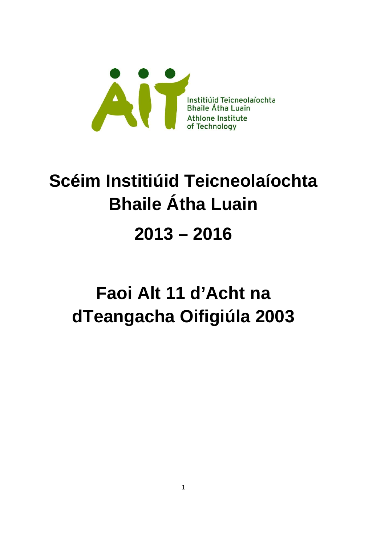

# **Scéim Institiúid Teicneolaíochta Bhaile Átha Luain 2013 – 2016**

### **Faoi Alt 11 d'Acht na dTeangacha Oifigiúla 2003**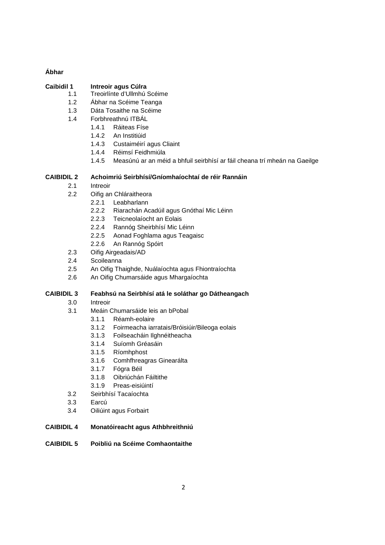#### **Ábhar**

#### **Caibidil 1 Intreoir agus Cúlra**

- 1.1 Treoirlínte d'Ullmhú Scéime
- 1.2 Ábhar na Scéime Teanga
- 1.3 Dáta Tosaithe na Scéime
- 1.4 Forbhreathnú ITBÁL
	- 1.4.1 Ráiteas Físe
	- 1.4.2 An Institiúid
	- 1.4.3 Custaiméirí agus Cliaint
	- 1.4.4 Réimsí Feidhmiúla
	- 1.4.5 Measúnú ar an méid a bhfuil seirbhísí ar fáil cheana trí mheán na Gaeilge

#### **CAIBIDIL 2 Achoimriú Seirbhísí/Gníomhaíochtaí de réir Rannáin**

- 2.1 Intreoir
- 2.2 Oifig an Chláraitheora
	- 2.2.1 Leabharlann
	- 2.2.2 Riarachán Acadúil agus Gnóthaí Mic Léinn
	- 2.2.3 Teicneolaíocht an Eolais
	- 2.2.4 Rannóg Sheirbhísí Mic Léinn
	- 2.2.5 Aonad Foghlama agus Teagaisc
	- 2.2.6 An Rannóg Spóirt
- 2.3 Oifig Airgeadais/AD
- 2.4 Scoileanna
- 2.5 An Oifig Thaighde, Nuálaíochta agus Fhiontraíochta
- 2.6 An Oifig Chumarsáide agus Mhargaíochta

#### **CAIBIDIL 3 Feabhsú na Seirbhísí atá le soláthar go Dátheangach**

- 3.0 Intreoir
- 3.1 Meáin Chumarsáide leis an bPobal
	- 3.1.1 Réamh-eolaire
	- 3.1.2 Foirmeacha iarratais/Bróisiúir/Bileoga eolais
	- 3.1.3 Foilseacháin Ilghnéitheacha
	- 3.1.4 Suíomh Gréasáin
	- 3.1.5 Ríomhphost
	- 3.1.6 Comhfhreagras Ginearálta
	- 3.1.7 Fógra Béil
	- 3.1.8 Oibriúchán Fáiltithe
	- 3.1.9 Preas-eisiúintí
- 3.2 Seirbhísí Tacaíochta
- 3.3 Earcú
- 3.4 Oiliúint agus Forbairt

#### **CAIBIDIL 4 Monatóireacht agus Athbhreithniú**

**CAIBIDIL 5 Poibliú na Scéime Comhaontaithe**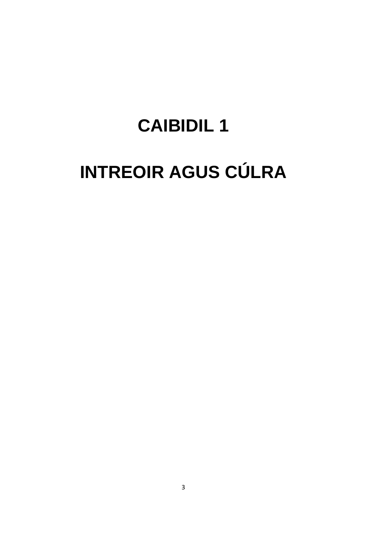### **CAIBIDIL1**

# **INTREOIR AGUS CÚLRA**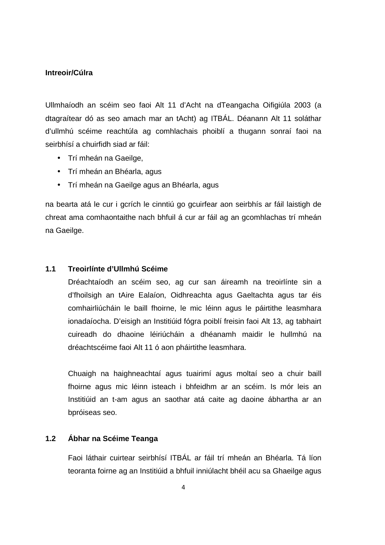#### **Intreoir/Cúlra**

Ullmhaíodh an scéim seo faoi Alt 11 d'Acht na dTeangacha Oifigiúla 2003 (a dtagraítear dó as seo amach mar an tAcht) ag ITBÁL. Déanann Alt 11 soláthar d'ullmhú scéime reachtúla ag comhlachais phoiblí a thugann sonraí faoi na seirbhísí a chuirfidh siad ar fáil:

- Trí mheán na Gaeilge,
- Trí mheán an Bhéarla, agus
- Trí mheán na Gaeilge agus an Bhéarla, agus

na bearta atá le cur i gcrích le cinntiú go gcuirfear aon seirbhís ar fáil laistigh de chreat ama comhaontaithe nach bhfuil á cur ar fáil ag an gcomhlachas trí mheán na Gaeilge.

#### **1.1 Treoirlínte d'Ullmhú Scéime**

Dréachtaíodh an scéim seo, ag cur san áireamh na treoirlínte sin a d'fhoilsigh an tAire Ealaíon, Oidhreachta agus Gaeltachta agus tar éis comhairliúcháin le baill fhoirne, le mic léinn agus le páirtithe leasmhara ionadaíocha. D'eisigh an Institiúid fógra poiblí freisin faoi Alt 13, ag tabhairt cuireadh do dhaoine léiriúcháin a dhéanamh maidir le hullmhú na dréachtscéime faoi Alt 11 ó aon pháirtithe leasmhara.

Chuaigh na haighneachtaí agus tuairimí agus moltaí seo a chuir baill fhoirne agus mic léinn isteach i bhfeidhm ar an scéim. Is mór leis an Institiúid an t-am agus an saothar atá caite ag daoine ábhartha ar an bpróiseas seo.

#### **1.2 Ábhar na Scéime Teanga**

Faoi láthair cuirtear seirbhísí ITBÁL ar fáil trí mheán an Bhéarla. Tá líon teoranta foirne ag an Institiúid a bhfuil inniúlacht bhéil acu sa Ghaeilge agus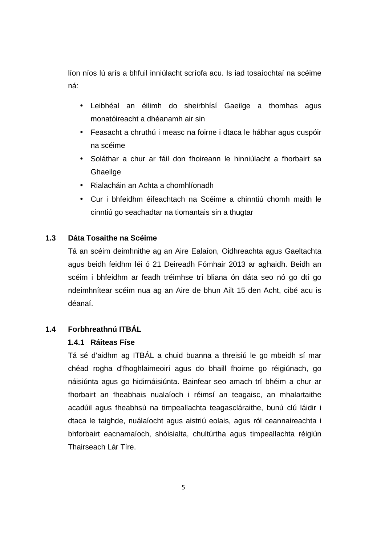líon níos lú arís a bhfuil inniúlacht scríofa acu. Is iad tosaíochtaí na scéime ná:

- Leibhéal an éilimh do sheirbhísí Gaeilge a thomhas agus monatóireacht a dhéanamh air sin
- Feasacht a chruthú i measc na foirne i dtaca le hábhar agus cuspóir na scéime
- Soláthar a chur ar fáil don fhoireann le hinniúlacht a fhorbairt sa Ghaeilge
- Rialacháin an Achta a chomhlíonadh
- Cur i bhfeidhm éifeachtach na Scéime a chinntiú chomh maith le cinntiú go seachadtar na tiomantais sin a thugtar

#### **1.3 Dáta Tosaithe na Scéime**

Tá an scéim deimhnithe ag an Aire Ealaíon, Oidhreachta agus Gaeltachta agus beidh feidhm léi ó 21 Deireadh Fómhair 2013 ar aghaidh. Beidh an scéim i bhfeidhm ar feadh tréimhse trí bliana ón dáta seo nó go dtí go ndeimhnítear scéim nua ag an Aire de bhun Ailt 15 den Acht, cibé acu is déanaí.

#### **1.4 Forbhreathnú ITBÁL**

#### **1.4.1 Ráiteas Físe**

Tá sé d'aidhm ag ITBÁL a chuid buanna a threisiú le go mbeidh sí mar chéad rogha d'fhoghlaimeoirí agus do bhaill fhoirne go réigiúnach, go náisiúnta agus go hidirnáisiúnta. Bainfear seo amach trí bhéim a chur ar fhorbairt an fheabhais nualaíoch i réimsí an teagaisc, an mhalartaithe acadúil agus fheabhsú na timpeallachta teagascláraithe, bunú clú láidir i dtaca le taighde, nuálaíocht agus aistriú eolais, agus ról ceannaireachta i bhforbairt eacnamaíoch, shóisialta, chultúrtha agus timpeallachta réigiún Thairseach Lár Tíre.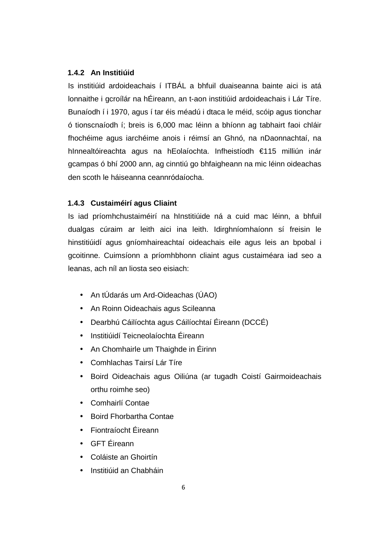#### **1.4.2 An Institiúid**

Is institiúid ardoideachais í ITBÁL a bhfuil duaiseanna bainte aici is atá lonnaithe i gcroílár na hÉireann, an t-aon institiúid ardoideachais i Lár Tíre. Bunaíodh í i 1970, agus í tar éis méadú i dtaca le méid, scóip agus tionchar ó tionscnaíodh í; breis is 6,000 mac léinn a bhíonn ag tabhairt faoi chláir fhochéime agus iarchéime anois i réimsí an Ghnó, na nDaonnachtaí, na hInnealtóireachta agus na hEolaíochta. Infheistíodh €115 milliún inár gcampas ó bhí 2000 ann, ag cinntiú go bhfaigheann na mic léinn oideachas den scoth le háiseanna ceannródaíocha.

#### **1.4.3 Custaiméirí agus Cliaint**

Is iad príomhchustaiméirí na hInstitiúide ná a cuid mac léinn, a bhfuil dualgas cúraim ar leith aici ina leith. Idirghníomhaíonn sí freisin le hinstitiúidí agus gníomhaireachtaí oideachais eile agus leis an bpobal i gcoitinne. Cuimsíonn a príomhbhonn cliaint agus custaiméara iad seo a leanas, ach níl an liosta seo eisiach:

- An tÚdarás um Ard-Oideachas (ÚAO)
- An Roinn Oideachais agus Scileanna
- Dearbhú Cáilíochta agus Cáilíochtaí Éireann (DCCÉ)
- Institiúidí Teicneolaíochta Éireann
- An Chomhairle um Thaighde in Éirinn
- Comhlachas Tairsí Lár Tíre
- Boird Oideachais agus Oiliúna (ar tugadh Coistí Gairmoideachais orthu roimhe seo)
- Comhairlí Contae
- Boird Fhorbartha Contae
- Fiontraíocht Éireann
- GFT Éireann
- Coláiste an Ghoirtín
- Institiúid an Chabháin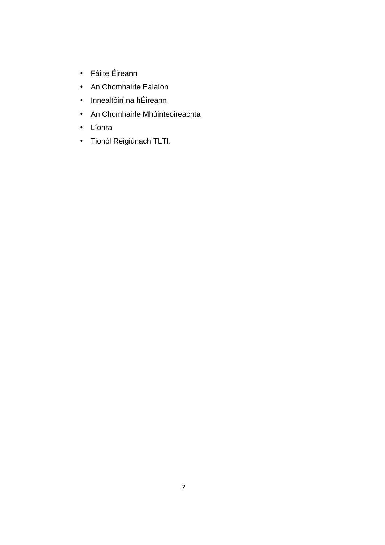- Fáilte Éireann
- An Chomhairle Ealaíon
- Innealtóirí na hÉireann
- An Chomhairle Mhúinteoireachta
- Líonra
- Tionól Réigiúnach TLTI.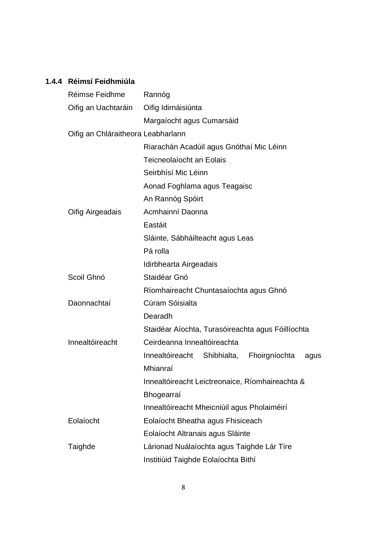#### **1.4.4 Réimsí Feidhmiúla**

| Réimse Feidhme                     | Rannóg                                            |
|------------------------------------|---------------------------------------------------|
| Oifig an Uachtaráin                | Oifig Idirnáisiúnta                               |
|                                    | Margaíocht agus Cumarsáid                         |
| Oifig an Chláraitheora Leabharlann |                                                   |
|                                    | Riarachán Acadúil agus Gnóthaí Mic Léinn          |
|                                    | Teicneolaíocht an Eolais                          |
|                                    | Seirbhísí Mic Léinn                               |
|                                    | Aonad Foghlama agus Teagaisc                      |
|                                    | An Rannóg Spóirt                                  |
| Oifig Airgeadais                   | Acmhainní Daonna                                  |
|                                    | Eastáit                                           |
|                                    | Sláinte, Sábháilteacht agus Leas                  |
|                                    | Pá rolla                                          |
|                                    | Idirbhearta Airgeadais                            |
| Scoil Ghnó                         | Staidéar Gnó                                      |
|                                    | Ríomhaireacht Chuntasaíochta agus Ghnó            |
| Daonnachtaí                        | Cúram Sóisialta                                   |
|                                    | Dearadh                                           |
|                                    | Staidéar Aíochta, Turasóireachta agus Fóillíochta |
| Innealtóireacht                    | Ceirdeanna Innealtóireachta                       |
|                                    | Innealtóireacht Shibhialta, Fhoirgníochta<br>agus |
|                                    | Mhianraí                                          |
|                                    | Innealtóireacht Leictreonaice, Ríomhaireachta &   |
|                                    | Bhogearraí                                        |
|                                    | Innealtóireacht Mheicniúil agus Pholaiméirí       |
| Eolaíocht                          | Eolaíocht Bheatha agus Fhisiceach                 |
|                                    | Eolaíocht Altranais agus Sláinte                  |
| Taighde                            | Lárionad Nuálaíochta agus Taighde Lár Tíre        |
|                                    | Institiúid Taighde Eolaíochta Bithí               |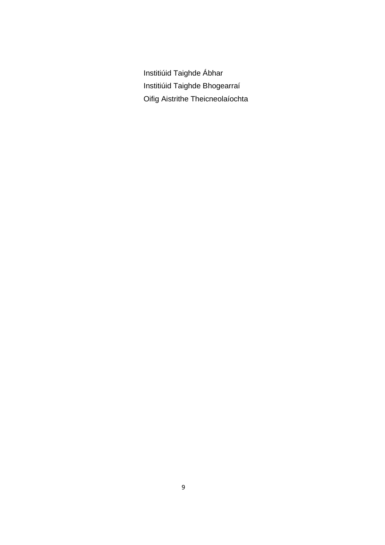Institiúid Taighde Ábhar Institiúid Taighde Bhogearraí Oifig Aistrithe Theicneolaíochta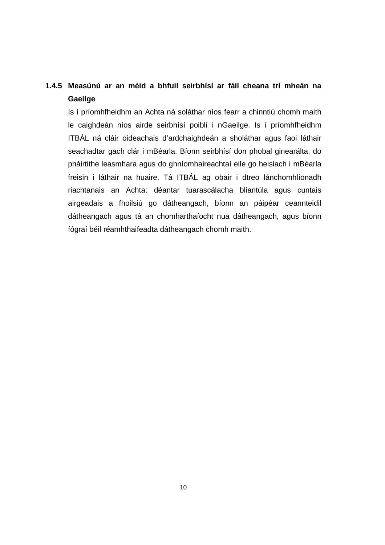#### **1.4.5 Measúnú ar an méid a bhfuil seirbhísí ar fáil cheana trí mheán na Gaeilge**

Is í príomhfheidhm an Achta ná soláthar níos fearr a chinntiú chomh maith le caighdeán níos airde seirbhísí poiblí i nGaeilge. Is í príomhfheidhm ITBÁL ná cláir oideachais d'ardchaighdeán a sholáthar agus faoi láthair seachadtar gach clár i mBéarla. Bíonn seirbhísí don phobal ginearálta, do pháirtithe leasmhara agus do ghníomhaireachtaí eile go heisiach i mBéarla freisin i láthair na huaire. Tá ITBÁL ag obair i dtreo lánchomhlíonadh riachtanais an Achta: déantar tuarascálacha bliantúla agus cuntais airgeadais a fhoilsiú go dátheangach, bíonn an páipéar ceannteidil dátheangach agus tá an chomharthaíocht nua dátheangach, agus bíonn fógraí béil réamhthaifeadta dátheangach chomh maith.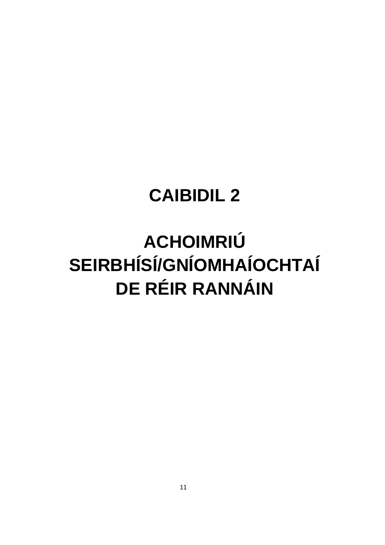### **CAIBIDIL 2**

# **ACHOIMRIÚ SEIRBHÍSÍ/GNÍOMHAÍOCHTAÍ DE RÉIR RANNÁIN**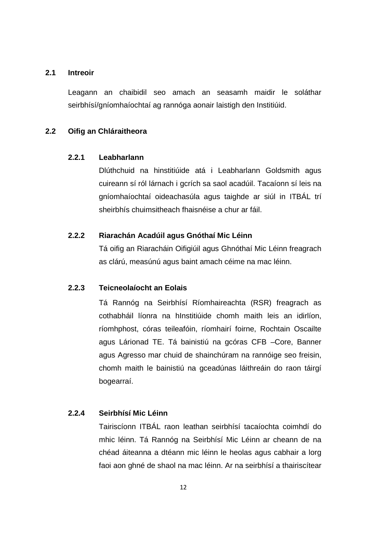#### **2.1 Intreoir**

Leagann an chaibidil seo amach an seasamh maidir le soláthar seirbhísí/gníomhaíochtaí ag rannóga aonair laistigh den Institiúid.

#### **2.2 Oifig an Chláraitheora**

#### **2.2.1 Leabharlann**

Dlúthchuid na hinstitiúide atá i Leabharlann Goldsmith agus cuireann sí ról lárnach i gcrích sa saol acadúil. Tacaíonn sí leis na gníomhaíochtaí oideachasúla agus taighde ar siúl in ITBÁL trí sheirbhís chuimsitheach fhaisnéise a chur ar fáil.

#### **2.2.2 Riarachán Acadúil agus Gnóthaí Mic Léinn**

Tá oifig an Riaracháin Oifigiúil agus Ghnóthaí Mic Léinn freagrach as clárú, measúnú agus baint amach céime na mac léinn.

#### **2.2.3 Teicneolaíocht an Eolais**

Tá Rannóg na Seirbhísí Ríomhaireachta (RSR) freagrach as cothabháil líonra na hInstitiúide chomh maith leis an idirlíon, ríomhphost, córas teileafóin, ríomhairí foirne, Rochtain Oscailte agus Lárionad TE. Tá bainistiú na gcóras CFB –Core, Banner agus Agresso mar chuid de shainchúram na rannóige seo freisin, chomh maith le bainistiú na gceadúnas láithreáin do raon táirgí bogearraí.

#### **2.2.4 Seirbhísí Mic Léinn**

Tairiscíonn ITBÁL raon leathan seirbhísí tacaíochta coimhdí do mhic léinn. Tá Rannóg na Seirbhísí Mic Léinn ar cheann de na chéad áiteanna a dtéann mic léinn le heolas agus cabhair a lorg faoi aon ghné de shaol na mac léinn. Ar na seirbhísí a thairiscítear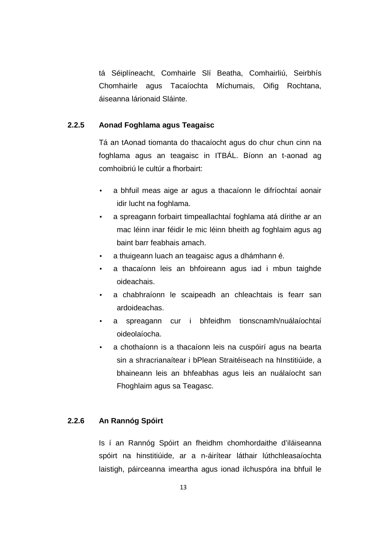tá Séiplíneacht, Comhairle Slí Beatha, Comhairliú, Seirbhís Chomhairle agus Tacaíochta Míchumais, Oifig Rochtana, áiseanna lárionaid Sláinte.

#### **2.2.5 Aonad Foghlama agus Teagaisc**

Tá an tAonad tiomanta do thacaíocht agus do chur chun cinn na foghlama agus an teagaisc in ITBÁL. Bíonn an t-aonad ag comhoibriú le cultúr a fhorbairt:

- a bhfuil meas aige ar agus a thacaíonn le difríochtaí aonair idir lucht na foghlama.
- a spreagann forbairt timpeallachtaí foghlama atá dírithe ar an mac léinn inar féidir le mic léinn bheith ag foghlaim agus ag baint barr feabhais amach.
- a thuigeann luach an teagaisc agus a dhámhann é.
- a thacaíonn leis an bhfoireann agus iad i mbun taighde oideachais.
- a chabhraíonn le scaipeadh an chleachtais is fearr san ardoideachas.
- a spreagann cur i bhfeidhm tionscnamh/nuálaíochtaí oideolaíocha.
- a chothaíonn is a thacaíonn leis na cuspóirí agus na bearta sin a shracrianaítear i bPlean Straitéiseach na hInstitiúide, a bhaineann leis an bhfeabhas agus leis an nuálaíocht san Fhoghlaim agus sa Teagasc.

#### **2.2.6 An Rannóg Spóirt**

Is í an Rannóg Spóirt an fheidhm chomhordaithe d'iláiseanna spóirt na hinstitiúide, ar a n-áirítear láthair lúthchleasaíochta laistigh, páirceanna imeartha agus ionad ilchuspóra ina bhfuil le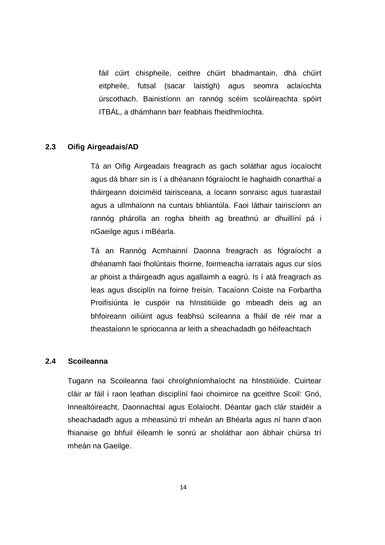fáil cúirt chispheile, ceithre chúirt bhadmantain, dhá chúirt eitpheile, futsal (sacar laistigh) agus seomra aclaíochta úrscothach. Bainistíonn an rannóg scéim scoláireachta spóirt ITBÁL, a dhámhann barr feabhais fheidhmíochta.

#### **2.3 Oifig Airgeadais/AD**

Tá an Oifig Airgeadais freagrach as gach soláthar agus íocaíocht agus dá bharr sin is í a dhéanann fógraíocht le haghaidh conarthaí a tháirgeann doiciméid tairisceana, a íocann sonraisc agus tuarastail agus a ullmhaíonn na cuntais bhliantúla. Faoi láthair tairiscíonn an rannóg phárolla an rogha bheith ag breathnú ar dhuillíní pá i nGaeilge agus i mBéarla.

Tá an Rannóg Acmhainní Daonna freagrach as fógraíocht a dhéanamh faoi fholúntais fhoirne, foirmeacha iarratais agus cur síos ar phoist a tháirgeadh agus agallaimh a eagrú. Is í atá freagrach as leas agus disciplín na foirne freisin. Tacaíonn Coiste na Forbartha Proifisiúnta le cuspóir na hInstitiúide go mbeadh deis ag an bhfoireann oiliúint agus feabhsú scileanna a fháil de réir mar a theastaíonn le spriocanna ar leith a sheachadadh go héifeachtach

#### **2.4 Scoileanna**

Tugann na Scoileanna faoi chroíghníomhaíocht na hInstitiúide. Cuirtear cláir ar fáil i raon leathan disciplíní faoi choimirce na gceithre Scoil: Gnó, Innealtóireacht, Daonnachtaí agus Eolaíocht. Déantar gach clár staidéir a sheachadadh agus a mheasúnú trí mheán an Bhéarla agus ní hann d'aon fhianaise go bhfuil éileamh le sonrú ar sholáthar aon ábhair chúrsa trí mheán na Gaeilge.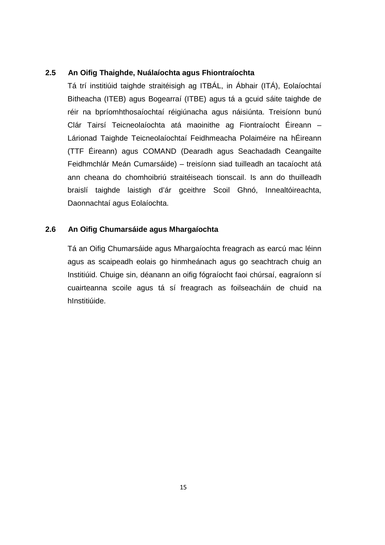#### **2.5 An Oifig Thaighde, Nuálaíochta agus Fhiontraíochta**

Tá trí institiúid taighde straitéisigh ag ITBÁL, in Ábhair (ITÁ), Eolaíochtaí Bitheacha (ITEB) agus Bogearraí (ITBE) agus tá a gcuid sáite taighde de réir na bpríomhthosaíochtaí réigiúnacha agus náisiúnta. Treisíonn bunú Clár Tairsí Teicneolaíochta atá maoinithe ag Fiontraíocht Éireann – Lárionad Taighde Teicneolaíochtaí Feidhmeacha Polaiméire na hÉireann (TTF Éireann) agus COMAND (Dearadh agus Seachadadh Ceangailte Feidhmchlár Meán Cumarsáide) – treisíonn siad tuilleadh an tacaíocht atá ann cheana do chomhoibriú straitéiseach tionscail. Is ann do thuilleadh braislí taighde laistigh d'ár gceithre Scoil Ghnó, Innealtóireachta, Daonnachtaí agus Eolaíochta.

#### **2.6 An Oifig Chumarsáide agus Mhargaíochta**

Tá an Oifig Chumarsáide agus Mhargaíochta freagrach as earcú mac léinn agus as scaipeadh eolais go hinmheánach agus go seachtrach chuig an Institiúid. Chuige sin, déanann an oifig fógraíocht faoi chúrsaí, eagraíonn sí cuairteanna scoile agus tá sí freagrach as foilseacháin de chuid na hInstitiúide.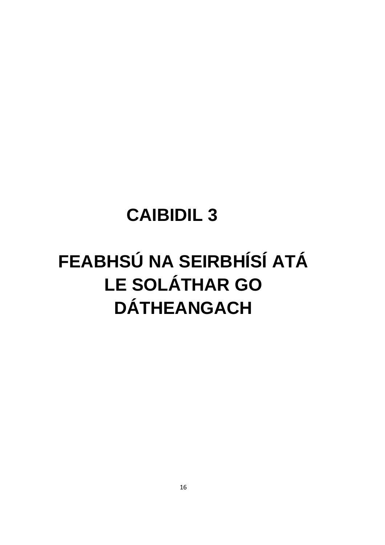### **CAIBIDIL 3**

## FEABHSÚ NA SEIRBHÍSÍ ATÁ **LE SOLÁTHAR GO DÁTHEANGACH**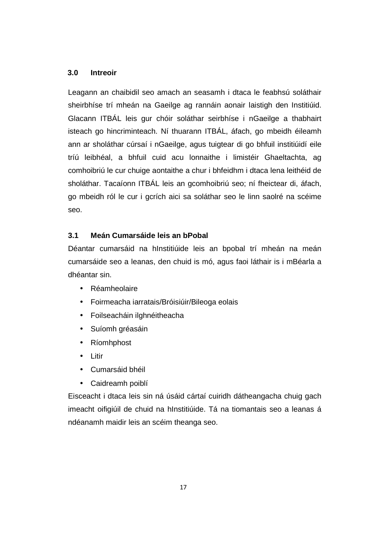#### **3.0 Intreoir**

Leagann an chaibidil seo amach an seasamh i dtaca le feabhsú soláthair sheirbhíse trí mheán na Gaeilge ag rannáin aonair laistigh den Institiúid. Glacann ITBÁL leis gur chóir soláthar seirbhíse i nGaeilge a thabhairt isteach go hincriminteach. Ní thuarann ITBÁL, áfach, go mbeidh éileamh ann ar sholáthar cúrsaí i nGaeilge, agus tuigtear di go bhfuil institiúidí eile tríú leibhéal, a bhfuil cuid acu lonnaithe i limistéir Ghaeltachta, ag comhoibriú le cur chuige aontaithe a chur i bhfeidhm i dtaca lena leithéid de sholáthar. Tacaíonn ITBÁL leis an gcomhoibriú seo; ní fheictear di, áfach, go mbeidh ról le cur i gcrích aici sa soláthar seo le linn saolré na scéime seo.

#### **3.1 Meán Cumarsáide leis an bPobal**

Déantar cumarsáid na hInstitiúide leis an bpobal trí mheán na meán cumarsáide seo a leanas, den chuid is mó, agus faoi láthair is i mBéarla a dhéantar sin.

- Réamheolaire
- Foirmeacha iarratais/Bróisiúir/Bileoga eolais
- Foilseacháin ilghnéitheacha
- Suíomh gréasáin
- Ríomhphost
- Litir
- Cumarsáid bhéil
- Caidreamh poiblí

Eisceacht i dtaca leis sin ná úsáid cártaí cuiridh dátheangacha chuig gach imeacht oifigiúil de chuid na hInstitiúide. Tá na tiomantais seo a leanas á ndéanamh maidir leis an scéim theanga seo.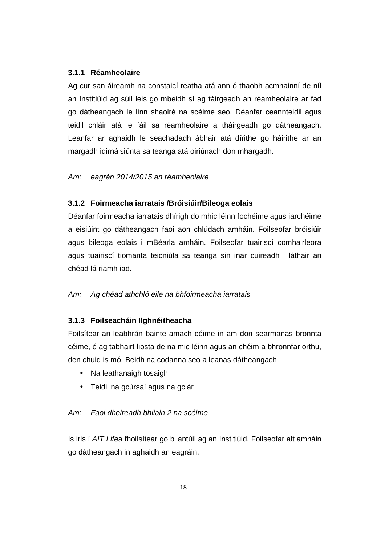#### **3.1.1 Réamheolaire**

Ag cur san áireamh na constaicí reatha atá ann ó thaobh acmhainní de níl an Institiúid ag súil leis go mbeidh sí ag táirgeadh an réamheolaire ar fad go dátheangach le linn shaolré na scéime seo. Déanfar ceannteidil agus teidil chláir atá le fáil sa réamheolaire a tháirgeadh go dátheangach. Leanfar ar aghaidh le seachadadh ábhair atá dírithe go háirithe ar an margadh idirnáisiúnta sa teanga atá oiriúnach don mhargadh.

#### Am: eagrán 2014/2015 an réamheolaire

#### **3.1.2 Foirmeacha iarratais /Bróisiúir/Bileoga eolais**

Déanfar foirmeacha iarratais dhírigh do mhic léinn fochéime agus iarchéime a eisiúint go dátheangach faoi aon chlúdach amháin. Foilseofar bróisiúir agus bileoga eolais i mBéarla amháin. Foilseofar tuairiscí comhairleora agus tuairiscí tiomanta teicniúla sa teanga sin inar cuireadh i láthair an chéad lá riamh iad.

#### Am: Ag chéad athchló eile na bhfoirmeacha iarratais

#### **3.1.3 Foilseacháin Ilghnéitheacha**

Foilsítear an leabhrán bainte amach céime in am don searmanas bronnta céime, é ag tabhairt liosta de na mic léinn agus an chéim a bhronnfar orthu, den chuid is mó. Beidh na codanna seo a leanas dátheangach

- Na leathanaigh tosaigh
- Teidil na gcúrsaí agus na gclár

#### Am: Faoi dheireadh bhliain 2 na scéime

Is iris í AIT Lifea fhoilsítear go bliantúil ag an Institiúid. Foilseofar alt amháin go dátheangach in aghaidh an eagráin.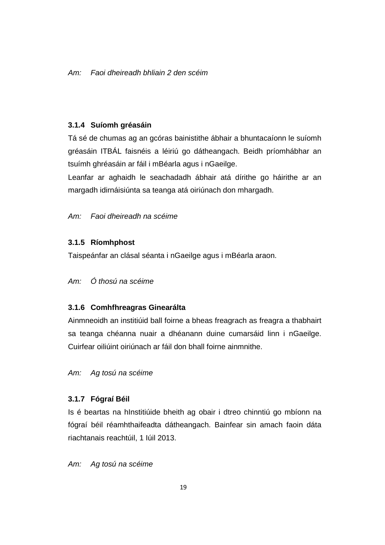#### **3.1.4 Suíomh gréasáin**

Tá sé de chumas ag an gcóras bainistithe ábhair a bhuntacaíonn le suíomh gréasáin ITBÁL faisnéis a léiriú go dátheangach. Beidh príomhábhar an tsuímh ghréasáin ar fáil i mBéarla agus i nGaeilge.

Leanfar ar aghaidh le seachadadh ábhair atá dírithe go háirithe ar an margadh idirnáisiúnta sa teanga atá oiriúnach don mhargadh.

#### Am: Faoi dheireadh na scéime

#### **3.1.5 Ríomhphost**

Taispeánfar an clásal séanta i nGaeilge agus i mBéarla araon.

#### Am: Ó thosú na scéime

#### **3.1.6 Comhfhreagras Ginearálta**

Ainmneoidh an institiúid ball foirne a bheas freagrach as freagra a thabhairt sa teanga chéanna nuair a dhéanann duine cumarsáid linn i nGaeilge. Cuirfear oiliúint oiriúnach ar fáil don bhall foirne ainmnithe.

Am: Ag tosú na scéime

#### **3.1.7 Fógraí Béil**

Is é beartas na hInstitiúide bheith ag obair i dtreo chinntiú go mbíonn na fógraí béil réamhthaifeadta dátheangach. Bainfear sin amach faoin dáta riachtanais reachtúil, 1 Iúil 2013.

#### Am: Ag tosú na scéime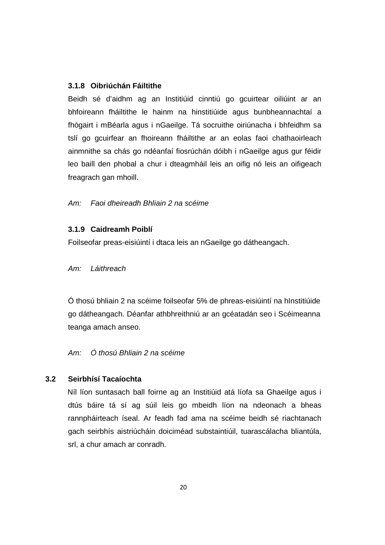#### **3.1.8 Oibriúchán Fáiltithe**

Beidh sé d'aidhm ag an Institiúid cinntiú go gcuirtear oiliúint ar an bhfoireann fháiltithe le hainm na hinstitiúide agus bunbheannachtaí a fhógairt i mBéarla agus i nGaeilge. Tá socruithe oiriúnacha i bhfeidhm sa tslí go gcuirfear an fhoireann fháiltithe ar an eolas faoi chathaoirleach ainmnithe sa chás go ndéanfaí fiosrúchán dóibh i nGaeilge agus gur féidir leo baill den phobal a chur i dteagmháil leis an oifig nó leis an oifigeach freagrach gan mhoill.

#### Am: Faoi dheireadh Bhliain 2 na scéime

#### **3.1.9 Caidreamh Poiblí**

Foilseofar preas-eisiúintí i dtaca leis an nGaeilge go dátheangach.

Am: Láithreach

Ó thosú bhliain 2 na scéime foilseofar 5% de phreas-eisiúintí na hInstitiúide go dátheangach. Déanfar athbhreithniú ar an gcéatadán seo i Scéimeanna teanga amach anseo.

#### Am: Ó thosú Bhliain 2 na scéime

#### **3.2 Seirbhísí Tacaíochta**

Níl líon suntasach ball foirne ag an Institiúid atá líofa sa Ghaeilge agus i dtús báire tá sí ag súil leis go mbeidh líon na ndeonach a bheas rannpháirteach íseal. Ar feadh fad ama na scéime beidh sé riachtanach gach seirbhís aistriúcháin doiciméad substaintiúil, tuarascálacha bliantúla, srl, a chur amach ar conradh.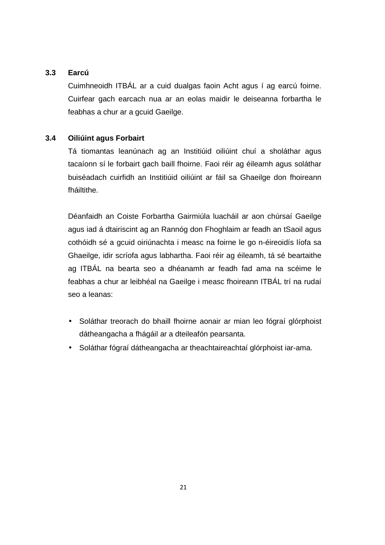#### **3.3 Earcú**

Cuimhneoidh ITBÁL ar a cuid dualgas faoin Acht agus í ag earcú foirne. Cuirfear gach earcach nua ar an eolas maidir le deiseanna forbartha le feabhas a chur ar a gcuid Gaeilge.

#### **3.4 Oiliúint agus Forbairt**

Tá tiomantas leanúnach ag an Institiúid oiliúint chuí a sholáthar agus tacaíonn sí le forbairt gach baill fhoirne. Faoi réir ag éileamh agus soláthar buiséadach cuirfidh an Institiúid oiliúint ar fáil sa Ghaeilge don fhoireann fháiltithe.

Déanfaidh an Coiste Forbartha Gairmiúla luacháil ar aon chúrsaí Gaeilge agus iad á dtairiscint ag an Rannóg don Fhoghlaim ar feadh an tSaoil agus cothóidh sé a gcuid oiriúnachta i measc na foirne le go n-éireoidís líofa sa Ghaeilge, idir scríofa agus labhartha. Faoi réir ag éileamh, tá sé beartaithe ag ITBÁL na bearta seo a dhéanamh ar feadh fad ama na scéime le feabhas a chur ar leibhéal na Gaeilge i measc fhoireann ITBÁL trí na rudaí seo a leanas:

- Soláthar treorach do bhaill fhoirne aonair ar mian leo fógraí glórphoist dátheangacha a fhágáil ar a dteileafón pearsanta.
- Soláthar fógraí dátheangacha ar theachtaireachtaí glórphoist iar-ama.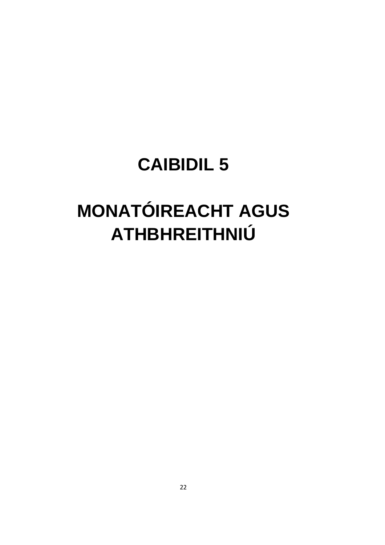### **CAIBIDIL 5**

# **MONATÓIREACHT AGUS** ATHBHREITHNIÚ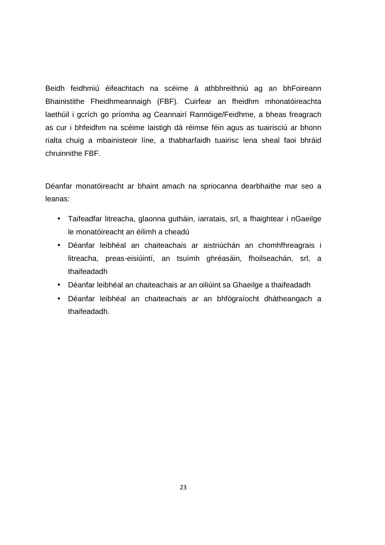Beidh feidhmiú éifeachtach na scéime á athbhreithniú ag an bhFoireann Bhainistithe Fheidhmeannaigh (FBF). Cuirfear an fheidhm mhonatóireachta laethúil i gcrích go príomha ag Ceannairí Rannóige/Feidhme, a bheas freagrach as cur i bhfeidhm na scéime laistigh dá réimse féin agus as tuairisciú ar bhonn rialta chuig a mbainisteoir líne, a thabharfaidh tuairisc lena sheal faoi bhráid chruinnithe FBF.

Déanfar monatóireacht ar bhaint amach na spriocanna dearbhaithe mar seo a leanas:

- Taifeadfar litreacha, glaonna gutháin, iarratais, srl, a fhaightear i nGaeilge le monatóireacht an éilimh a cheadú
- Déanfar leibhéal an chaiteachais ar aistriúchán an chomhfhreagrais i litreacha, preas-eisiúintí, an tsuímh ghréasáin, fhoilseachán, srl, a thaifeadadh
- Déanfar leibhéal an chaiteachais ar an oiliúint sa Ghaeilge a thaifeadadh
- Déanfar leibhéal an chaiteachais ar an bhfógraíocht dhátheangach a thaifeadadh.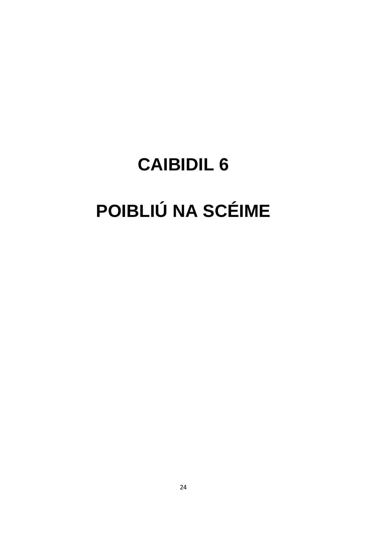# **CAIBIDIL 6** POIBLIÚ NA SCÉIME